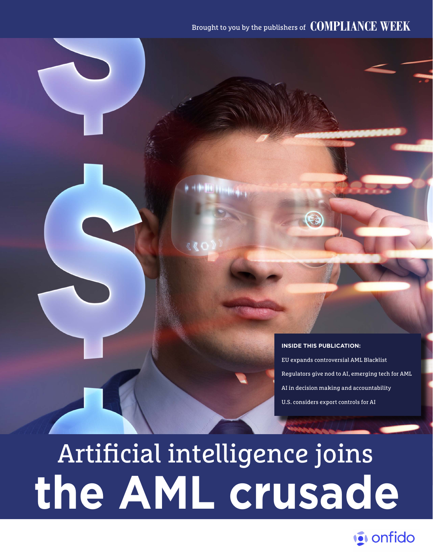### Brought to you by the publishers of **COMPLIANCE WEEK**

#### **INSIDE THIS PUBLICATION:**

EU expands controversial AML Blacklist Regulators give nod to AI, emerging tech for AML AI in decision making and accountability U.S. considers export controls for AI

# **the AML crusade** Artificial intelligence joins

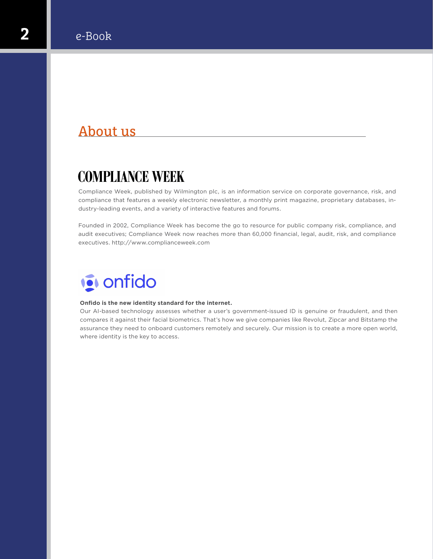### About us

### **COMPLIANCE WEEK**

Compliance Week, published by Wilmington plc, is an information service on corporate governance, risk, and compliance that features a weekly electronic newsletter, a monthly print magazine, proprietary databases, industry-leading events, and a variety of interactive features and forums.

Founded in 2002, Compliance Week has become the go to resource for public company risk, compliance, and audit executives; Compliance Week now reaches more than 60,000 financial, legal, audit, risk, and compliance executives[. http://www.complianceweek.com](http://www.complianceweek.com)



#### **Onfido is the new identity standard for the internet.**

Our AI-based technology assesses whether a user's government-issued ID is genuine or fraudulent, and then compares it against their facial biometrics. That's how we give companies like Revolut, Zipcar and Bitstamp the assurance they need to onboard customers remotely and securely. Our mission is to create a more open world, where identity is the key to access.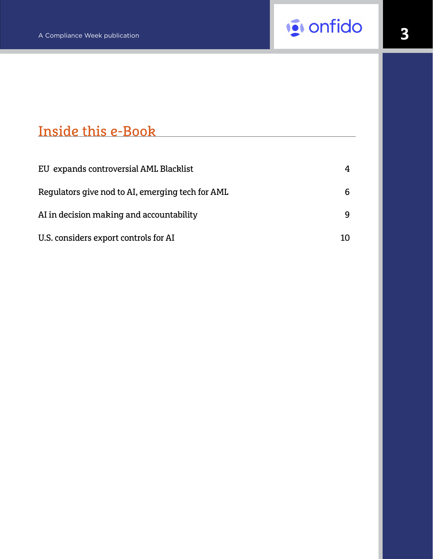

### Inside this e-Book

| EU expands controversial AML Blacklist           | 4 |
|--------------------------------------------------|---|
| Regulators give nod to AI, emerging tech for AML | 6 |
| AI in decision making and accountability         | q |
| U.S. considers export controls for AI            |   |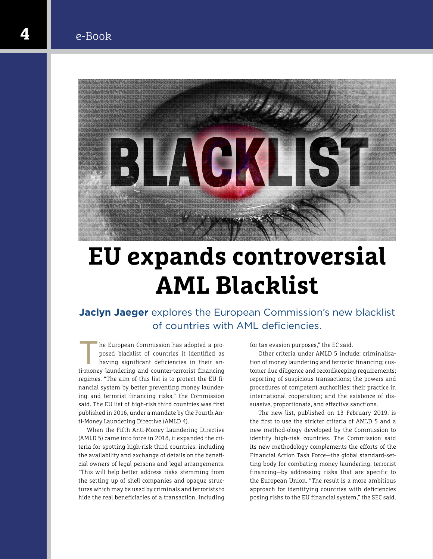

# **EU expands controversial AML Blacklist**

**Jaclyn Jaeger** explores the European Commission's new blacklist of countries with AML deficiencies.

The European Commission has adopted a proposed blacklist of countries it identified as<br>having significant deficiencies in their anposed blacklist of countries it identified as having significant deficiencies in their anti-money laundering and counter-terrorist financing regimes. "The aim of this list is to protect the EU financial system by better preventing money laundering and terrorist financing risks," the Commission said. The EU list of high-risk third countries was first published in 2016, under a mandate by the Fourth Anti-Money Laundering Directive (AMLD 4).

When the Fifth Anti-Money Laundering Directive (AMLD 5) came into force in 2018, it expanded the criteria for spotting high-risk third countries, including the availability and exchange of details on the beneficial owners of legal persons and legal arrangements. "This will help better address risks stemming from the setting up of shell companies and opaque structures which may be used by criminals and terrorists to hide the real beneficiaries of a transaction, including for tax evasion purposes," the EC said.

Other criteria under AMLD 5 include: criminalisation of money laundering and terrorist financing; customer due diligence and recordkeeping requirements; reporting of suspicious transactions; the powers and procedures of competent authorities; their practice in international cooperation; and the existence of dissuasive, proportionate, and effective sanctions.

The new list, published on 13 February 2019, is the first to use the stricter criteria of AMLD 5 and a new method-ology developed by the Commission to identify high-risk countries. The Commission said its new methodology complements the efforts of the Financial Action Task Force—the global standard-setting body for combating money laundering, terrorist financing—by addressing risks that are specific to the European Union. "The result is a more ambitious approach for identifying countries with deficiencies posing risks to the EU financial system," the SEC said.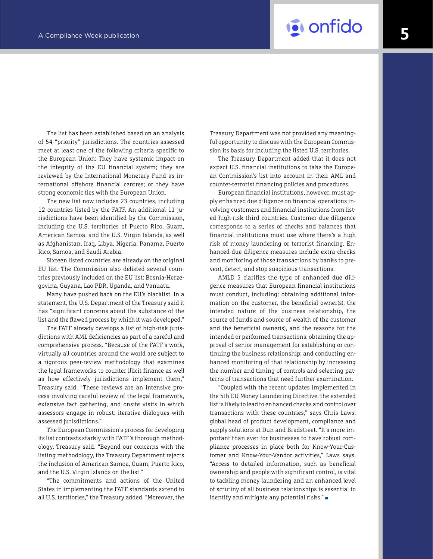# A Compliance Week publication **50 and 2011 to the United States of the United States and American Compliance Week publication**

The list has been established based on an analysis of 54 "priority" jurisdictions. The countries assessed meet at least one of the following criteria specific to the European Union: They have systemic impact on the integrity of the EU financial system; they are reviewed by the International Monetary Fund as international offshore financial centres; or they have strong economic ties with the European Union.

The new list now includes 23 countries, including 12 countries listed by the FATF. An additional 11 jurisdictions have been identified by the Commission, including the U.S. territories of Puerto Rico, Guam, American Samoa, and the U.S. Virgin Islands, as well as Afghanistan, Iraq, Libya, Nigeria, Panama, Puerto Rico, Samoa, and Saudi Arabia.

Sixteen listed countries are already on the original EU list. The Commission also delisted several countries previously included on the EU list: Bosnia-Herzegovina, Guyana, Lao PDR, Uganda, and Vanuatu.

Many have pushed back on the EU's blacklist. In a statement, the U.S. Department of the Treasury said it has "significant concerns about the substance of the list and the flawed process by which it was developed."

The FATF already develops a list of high-risk jurisdictions with AML deficiencies as part of a careful and comprehensive process. "Because of the FATF's work, virtually all countries around the world are subject to a rigorous peer-review methodology that examines the legal frameworks to counter illicit finance as well as how effectively jurisdictions implement them," Treasury said. "These reviews are an intensive process involving careful review of the legal framework, extensive fact gathering, and onsite visits in which assessors engage in robust, iterative dialogues with assessed jurisdictions."

The European Commission's process for developing its list contrasts starkly with FATF's thorough methodology, Treasury said. "Beyond our concerns with the listing methodology, the Treasury Department rejects the inclusion of American Samoa, Guam, Puerto Rico, and the U.S. Virgin Islands on the list."

"The commitments and actions of the United States in implementing the FATF standards extend to all U.S. territories," the Treasury added. "Moreover, the Treasury Department was not provided any meaningful opportunity to discuss with the European Commission its basis for including the listed U.S. territories.

The Treasury Department added that it does not expect U.S. financial institutions to take the European Commission's list into account in their AML and counter-terrorist financing policies and procedures.

European financial institutions, however, must apply enhanced due diligence on financial operations involving customers and financial institutions from listed high-risk third countries. Customer due diligence corresponds to a series of checks and balances that financial institutions must use where there's a high risk of money laundering or terrorist financing. Enhanced due diligence measures include extra checks and monitoring of those transactions by banks to prevent, detect, and stop suspicious transactions.

AMLD 5 clarifies the type of enhanced due diligence measures that European financial institutions must conduct, including: obtaining additional information on the customer, the beneficial owner(s), the intended nature of the business relationship, the source of funds and source of wealth of the customer and the beneficial owner(s), and the reasons for the intended or performed transactions; obtaining the approval of senior management for establishing or continuing the business relationship; and conducting enhanced monitoring of that relationship by increasing the number and timing of controls and selecting patterns of transactions that need further examination.

"Coupled with the recent updates implemented in the 5th EU Money Laundering Directive, the extended list is likely to lead to enhanced checks and control over transactions with these countries," says Chris Laws, global head of product development, compliance and supply solutions at Dun and Bradstreet. "It's more important than ever for businesses to have robust compliance processes in place both for Know-Your-Customer and Know-Your-Vendor activities," Laws says. "Access to detailed information, such as beneficial ownership and people with significant control, is vital to tackling money laundering and an enhanced level of scrutiny of all business relationships is essential to identify and mitigate any potential risks." ■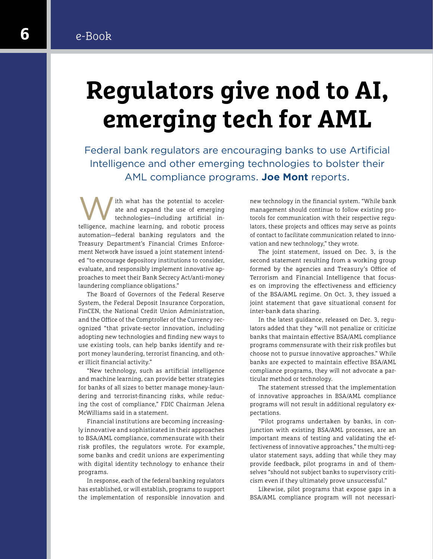### **6** e-Book

# **Regulators give nod to AI, emerging tech for AML**

Federal bank regulators are encouraging banks to use Artificial Intelligence and other emerging technologies to bolster their AML compliance programs. **Joe Mont** reports.

Ith what has the potential to acceler-<br>technologies—including artificial in-<br>telligence maghine learning and rebetic processes ate and expand the use of emerging telligence, machine learning, and robotic process automation—federal banking regulators and the Treasury Department's Financial Crimes Enforcement Network have issued a joint statement intended "to encourage depository institutions to consider, evaluate, and responsibly implement innovative approaches to meet their Bank Secrecy Act/anti-money laundering compliance obligations."

The Board of Governors of the Federal Reserve System, the Federal Deposit Insurance Corporation, FinCEN, the National Credit Union Administration, and the Office of the Comptroller of the Currency recognized "that private-sector innovation, including adopting new technologies and finding new ways to use existing tools, can help banks identify and report money laundering, terrorist financing, and other illicit financial activity."

"New technology, such as artificial intelligence and machine learning, can provide better strategies for banks of all sizes to better manage money-laundering and terrorist-financing risks, while reducing the cost of compliance," FDIC Chairman Jelena McWilliams said in a statement.

Financial institutions are becoming increasingly innovative and sophisticated in their approaches to BSA/AML compliance, commensurate with their risk profiles, the regulators wrote. For example, some banks and credit unions are experimenting with digital identity technology to enhance their programs.

In response, each of the federal banking regulators has established, or will establish, programs to support the implementation of responsible innovation and new technology in the financial system. "While bank management should continue to follow existing protocols for communication with their respective regulators, these projects and offices may serve as points of contact to facilitate communication related to innovation and new technology," they wrote.

The joint statement, issued on Dec. 3, is the second statement resulting from a working group formed by the agencies and Treasury's Office of Terrorism and Financial Intelligence that focuses on improving the effectiveness and efficiency of the BSA/AML regime. On Oct. 3, they issued a joint statement that gave situational consent for inter-bank data sharing.

In the latest guidance, released on Dec. 3, regulators added that they "will not penalize or criticize banks that maintain effective BSA/AML compliance programs commensurate with their risk profiles but choose not to pursue innovative approaches." While banks are expected to maintain effective BSA/AML compliance programs, they will not advocate a particular method or technology.

The statement stressed that the implementation of innovative approaches in BSA/AML compliance programs will not result in additional regulatory expectations.

"Pilot programs undertaken by banks, in conjunction with existing BSA/AML processes, are an important means of testing and validating the effectiveness of innovative approaches," the multi-regulator statement says, adding that while they may provide feedback, pilot programs in and of themselves "should not subject banks to supervisory criticism even if they ultimately prove unsuccessful."

Likewise, pilot programs that expose gaps in a BSA/AML compliance program will not necessari-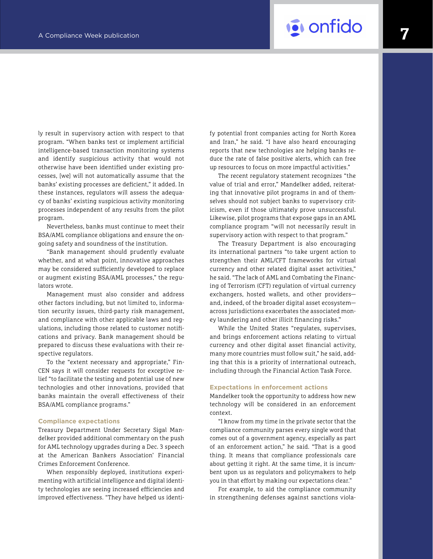# A Compliance Week publication **7**<sup>2</sup> **A Compliance Week publication**

ly result in supervisory action with respect to that program. "When banks test or implement artificial intelligence-based transaction monitoring systems and identify suspicious activity that would not otherwise have been identified under existing processes, [we] will not automatically assume that the banks' existing processes are deficient," it added. In these instances, regulators will assess the adequacy of banks' existing suspicious activity monitoring processes independent of any results from the pilot program.

Nevertheless, banks must continue to meet their BSA/AML compliance obligations and ensure the ongoing safety and soundness of the institution.

"Bank management should prudently evaluate whether, and at what point, innovative approaches may be considered sufficiently developed to replace or augment existing BSA/AML processes," the regulators wrote.

Management must also consider and address other factors including, but not limited to, information security issues, third-party risk management, and compliance with other applicable laws and regulations, including those related to customer notifications and privacy. Bank management should be prepared to discuss these evaluations with their respective regulators.

To the "extent necessary and appropriate," Fin-CEN says it will consider requests for exceptive relief "to facilitate the testing and potential use of new technologies and other innovations, provided that banks maintain the overall effectiveness of their BSA/AML compliance programs."

#### **Compliance expectations**

Treasury Department Under Secretary Sigal Mandelker provided additional commentary on the push for AML technology upgrades during a Dec. 3 speech at the American Bankers Association' Financial Crimes Enforcement Conference.

When responsibly deployed, institutions experimenting with artificial intelligence and digital identity technologies are seeing increased efficiencies and improved effectiveness. "They have helped us identify potential front companies acting for North Korea and Iran," he said. "I have also heard encouraging reports that new technologies are helping banks reduce the rate of false positive alerts, which can free up resources to focus on more impactful activities."

The recent regulatory statement recognizes "the value of trial and error," Mandelker added, reiterating that innovative pilot programs in and of themselves should not subject banks to supervisory criticism, even if those ultimately prove unsuccessful. Likewise, pilot programs that expose gaps in an AML compliance program "will not necessarily result in supervisory action with respect to that program."

The Treasury Department is also encouraging its international partners "to take urgent action to strengthen their AML/CFT frameworks for virtual currency and other related digital asset activities," he said. "The lack of AML and Combating the Financing of Terrorism (CFT) regulation of virtual currency exchangers, hosted wallets, and other providers and, indeed, of the broader digital asset ecosystem across jurisdictions exacerbates the associated money laundering and other illicit financing risks."

While the United States "regulates, supervises, and brings enforcement actions relating to virtual currency and other digital asset financial activity, many more countries must follow suit," he said, adding that this is a priority of international outreach, including through the Financial Action Task Force.

#### **Expectations in enforcement actions**

Mandelker took the opportunity to address how new technology will be considered in an enforcement context.

"I know from my time in the private sector that the compliance community parses every single word that comes out of a government agency, especially as part of an enforcement action," he said. "That is a good thing. It means that compliance professionals care about getting it right. At the same time, it is incumbent upon us as regulators and policymakers to help you in that effort by making our expectations clear."

For example, to aid the compliance community in strengthening defenses against sanctions viola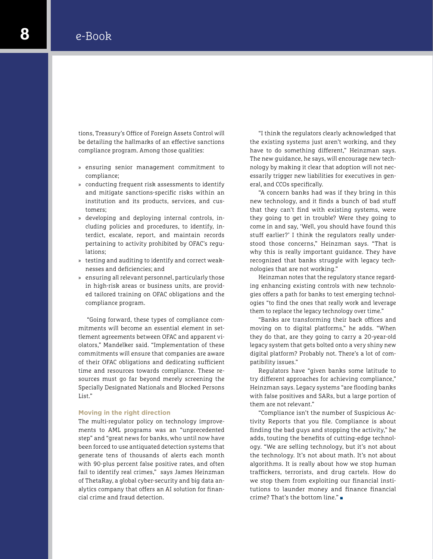tions, Treasury's Office of Foreign Assets Control will be detailing the hallmarks of an effective sanctions compliance program. Among those qualities:

- » ensuring senior management commitment to compliance;
- » conducting frequent risk assessments to identify and mitigate sanctions-specific risks within an institution and its products, services, and customers;
- » developing and deploying internal controls, including policies and procedures, to identify, interdict, escalate, report, and maintain records pertaining to activity prohibited by OFAC's regulations;
- » testing and auditing to identify and correct weaknesses and deficiencies; and
- » ensuring all relevant personnel, particularly those in high-risk areas or business units, are provided tailored training on OFAC obligations and the compliance program.

"Going forward, these types of compliance commitments will become an essential element in settlement agreements between OFAC and apparent violators," Mandelker said. "Implementation of these commitments will ensure that companies are aware of their OFAC obligations and dedicating sufficient time and resources towards compliance. These resources must go far beyond merely screening the Specially Designated Nationals and Blocked Persons List."

#### **Moving in the right direction**

The multi-regulator policy on technology improvements to AML programs was an "unprecedented step" and "great news for banks, who until now have been forced to use antiquated detection systems that generate tens of thousands of alerts each month with 90-plus percent false positive rates, and often fail to identify real crimes," says James Heinzman of ThetaRay, a global cyber-security and big data analytics company that offers an AI solution for financial crime and fraud detection.

"I think the regulators clearly acknowledged that the existing systems just aren't working, and they have to do something different," Heinzman says. The new guidance, he says, will encourage new technology by making it clear that adoption will not necessarily trigger new liabilities for executives in general, and CCOs specifically.

"A concern banks had was if they bring in this new technology, and it finds a bunch of bad stuff that they can't find with existing systems, were they going to get in trouble? Were they going to come in and say, 'Well, you should have found this stuff earlier?' I think the regulators really understood those concerns," Heinzman says. "That is why this is really important guidance. They have recognized that banks struggle with legacy technologies that are not working."

Heinzman notes that the regulatory stance regarding enhancing existing controls with new technologies offers a path for banks to test emerging technologies "to find the ones that really work and leverage them to replace the legacy technology over time."

"Banks are transforming their back offices and moving on to digital platforms," he adds. "When they do that, are they going to carry a 20-year-old legacy system that gets bolted onto a very shiny new digital platform? Probably not. There's a lot of compatibility issues."

Regulators have "given banks some latitude to try different approaches for achieving compliance," Heinzman says. Legacy systems "are flooding banks with false positives and SARs, but a large portion of them are not relevant."

"Compliance isn't the number of Suspicious Activity Reports that you file. Compliance is about finding the bad guys and stopping the activity," he adds, touting the benefits of cutting-edge technology. "We are selling technology, but it's not about the technology. It's not about math. It's not about algorithms. It is really about how we stop human traffickers, terrorists, and drug cartels. How do we stop them from exploiting our financial institutions to launder money and finance financial crime? That's the bottom line." ■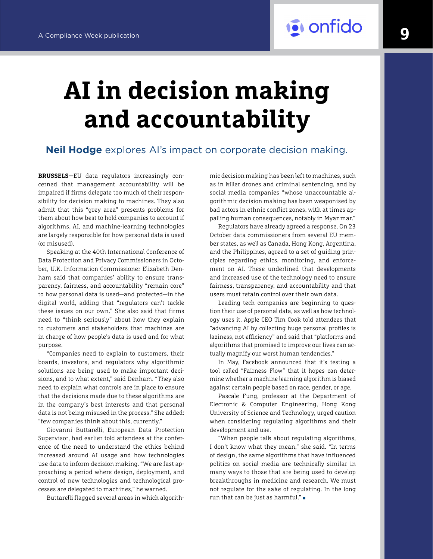# **AI in decision making and accountability**

### **Neil Hodge** explores AI's impact on corporate decision making.

**BRUSSELS—**EU data regulators increasingly concerned that management accountability will be impaired if firms delegate too much of their responsibility for decision making to machines. They also admit that this "grey area" presents problems for them about how best to hold companies to account if algorithms, AI, and machine-learning technologies are largely responsible for how personal data is used (or misused).

Speaking at the 40th International Conference of Data Protection and Privacy Commissioners in October, U.K. Information Commissioner Elizabeth Denham said that companies' ability to ensure transparency, fairness, and accountability "remain core" to how personal data is used—and protected—in the digital world, adding that "regulators can't tackle these issues on our own." She also said that firms need to "think seriously" about how they explain to customers and stakeholders that machines are in charge of how people's data is used and for what purpose.

"Companies need to explain to customers, their boards, investors, and regulators why algorithmic solutions are being used to make important decisions, and to what extent," said Denham. "They also need to explain what controls are in place to ensure that the decisions made due to these algorithms are in the company's best interests and that personal data is not being misused in the process." She added: "few companies think about this, currently."

Giovanni Buttarelli, European Data Protection Supervisor, had earlier told attendees at the conference of the need to understand the ethics behind increased around AI usage and how technologies use data to inform decision making. "We are fast approaching a period where design, deployment, and control of new technologies and technological processes are delegated to machines," he warned.

Buttarelli flagged several areas in which algorith-

mic decision making has been left to machines, such as in killer drones and criminal sentencing, and by social media companies "whose unaccountable algorithmic decision making has been weaponised by bad actors in ethnic conflict zones, with at times appalling human consequences, notably in Myanmar."

Regulators have already agreed a response. On 23 October data commissioners from several EU member states, as well as Canada, Hong Kong, Argentina, and the Philippines, agreed to a set of guiding principles regarding ethics, monitoring, and enforcement on AI. These underlined that developments and increased use of the technology need to ensure fairness, transparency, and accountability and that users must retain control over their own data.

Leading tech companies are beginning to question their use of personal data, as well as how technology uses it. Apple CEO Tim Cook told attendees that "advancing AI by collecting huge personal profiles is laziness, not efficiency" and said that "platforms and algorithms that promised to improve our lives can actually magnify our worst human tendencies."

In May, Facebook announced that it's testing a tool called "Fairness Flow" that it hopes can determine whether a machine learning algorithm is biased against certain people based on race, gender, or age.

Pascale Fung, professor at the Department of Electronic & Computer Engineering, Hong Kong University of Science and Technology, urged caution when considering regulating algorithms and their development and use.

"When people talk about regulating algorithms, I don't know what they mean," she said. "In terms of design, the same algorithms that have influenced politics on social media are technically similar in many ways to those that are being used to develop breakthroughs in medicine and research. We must not regulate for the sake of regulating. In the long run that can be just as harmful." ■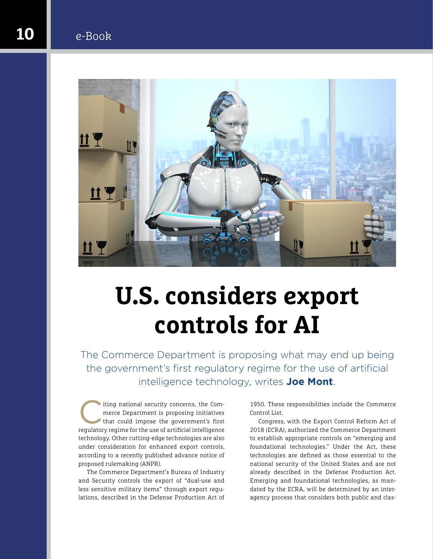### **10** e-Book



# **U.S. considers export controls for AI**

The Commerce Department is proposing what may end up being the government's first regulatory regime for the use of artificial intelligence technology, writes **Joe Mont**.

The commerce Department is proposing initiatives<br>that could impose the government's first<br>regulatory regime for the use of a rificial intelligence merce Department is proposing initiatives regulatory regime for the use of artificial intelligence technology. Other cutting-edge technologies are also under consideration for enhanced export controls, according to a recently published advance notice of proposed rulemaking (ANPR).

The Commerce Department's Bureau of Industry and Security controls the export of "dual-use and less sensitive military items" through export regulations, described in the Defense Production Act of

1950. These responsibilities include the Commerce Control List.

Congress, with the Export Control Reform Act of 2018 (ECRA), authorized the Commerce Department to establish appropriate controls on "emerging and foundational technologies." Under the Act, these technologies are defined as those essential to the national security of the United States and are not already described in the Defense Production Act. Emerging and foundational technologies, as mandated by the ECRA, will be determined by an interagency process that considers both public and clas-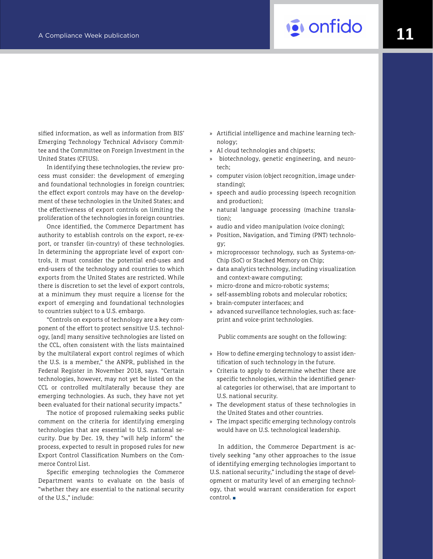# A Compliance Week publication **1111 1111 1111 1111 1111 1111 1111 1111 1111**

sified information, as well as information from BIS' Emerging Technology Technical Advisory Committee and the Committee on Foreign Investment in the United States (CFIUS).

In identifying these technologies, the review process must consider: the development of emerging and foundational technologies in foreign countries; the effect export controls may have on the development of these technologies in the United States; and the effectiveness of export controls on limiting the proliferation of the technologies in foreign countries.

Once identified, the Commerce Department has authority to establish controls on the export, re-export, or transfer (in-country) of these technologies. In determining the appropriate level of export controls, it must consider the potential end-uses and end-users of the technology and countries to which exports from the United States are restricted. While there is discretion to set the level of export controls, at a minimum they must require a license for the export of emerging and foundational technologies to countries subject to a U.S. embargo.

"Controls on exports of technology are a key component of the effort to protect sensitive U.S. technology, [and] many sensitive technologies are listed on the CCL, often consistent with the lists maintained by the multilateral export control regimes of which the U.S. is a member," the ANPR, published in the Federal Register in November 2018, says. "Certain technologies, however, may not yet be listed on the CCL or controlled multilaterally because they are emerging technologies. As such, they have not yet been evaluated for their national security impacts."

The notice of proposed rulemaking seeks public comment on the criteria for identifying emerging technologies that are essential to U.S. national security. Due by Dec. 19, they "will help inform" the process, expected to result in proposed rules for new Export Control Classification Numbers on the Commerce Control List.

Specific emerging technologies the Commerce Department wants to evaluate on the basis of "whether they are essential to the national security of the U.S.," include:

- » Artificial intelligence and machine learning technology;
- » AI cloud technologies and chipsets;
- » biotechnology, genetic engineering, and neurotech;
- » computer vision (object recognition, image understanding);
- » speech and audio processing (speech recognition and production);
- » natural language processing (machine translation);
- » audio and video manipulation (voice cloning);
- » Position, Navigation, and Timing (PNT) technology;
- » microprocessor technology, such as Systems-on-Chip (SoC) or Stacked Memory on Chip;
- » data analytics technology, including visualization and context-aware computing;
- » micro-drone and micro-robotic systems;
- self-assembling robots and molecular robotics;
- » brain-computer interfaces; and
- » advanced surveillance technologies, such as: faceprint and voice-print technologies.

Public comments are sought on the following:

- » How to define emerging technology to assist identification of such technology in the future.
- » Criteria to apply to determine whether there are specific technologies, within the identified general categories (or otherwise), that are important to U.S. national security.
- » The development status of these technologies in the United States and other countries.
- » The impact specific emerging technology controls would have on U.S. technological leadership.

In addition, the Commerce Department is actively seeking "any other approaches to the issue of identifying emerging technologies important to U.S. national security," including the stage of development or maturity level of an emerging technology, that would warrant consideration for export control. ■